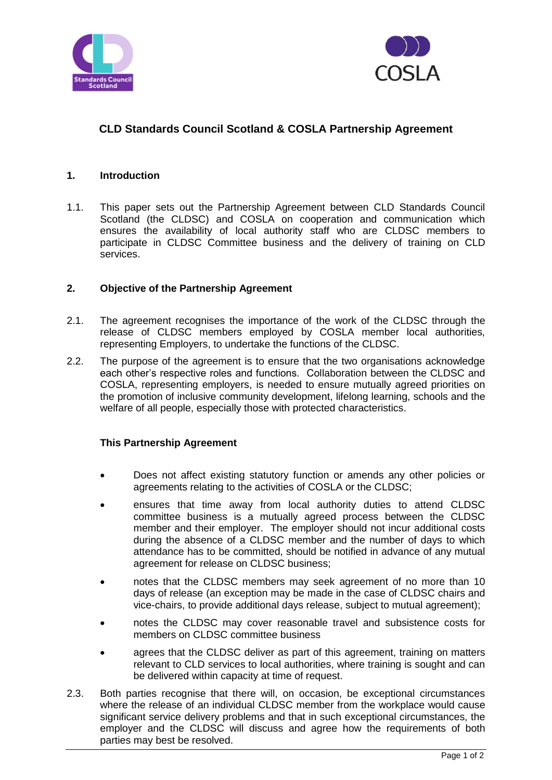



# **CLD Standards Council Scotland & COSLA Partnership Agreement**

#### **1. Introduction**

1.1. This paper sets out the Partnership Agreement between CLD Standards Council Scotland (the CLDSC) and COSLA on cooperation and communication which ensures the availability of local authority staff who are CLDSC members to participate in CLDSC Committee business and the delivery of training on CLD services.

### **2. Objective of the Partnership Agreement**

- 2.1. The agreement recognises the importance of the work of the CLDSC through the release of CLDSC members employed by COSLA member local authorities, representing Employers, to undertake the functions of the CLDSC.
- 2.2. The purpose of the agreement is to ensure that the two organisations acknowledge each other's respective roles and functions. Collaboration between the CLDSC and COSLA, representing employers, is needed to ensure mutually agreed priorities on the promotion of inclusive community development, lifelong learning, schools and the welfare of all people, especially those with protected characteristics.

### **This Partnership Agreement**

- Does not affect existing statutory function or amends any other policies or agreements relating to the activities of COSLA or the CLDSC;
- ensures that time away from local authority duties to attend CLDSC committee business is a mutually agreed process between the CLDSC member and their employer. The employer should not incur additional costs during the absence of a CLDSC member and the number of days to which attendance has to be committed, should be notified in advance of any mutual agreement for release on CLDSC business;
- notes that the CLDSC members may seek agreement of no more than 10 days of release (an exception may be made in the case of CLDSC chairs and vice-chairs, to provide additional days release, subject to mutual agreement);
- notes the CLDSC may cover reasonable travel and subsistence costs for members on CLDSC committee business
- agrees that the CLDSC deliver as part of this agreement, training on matters relevant to CLD services to local authorities, where training is sought and can be delivered within capacity at time of request.
- 2.3. Both parties recognise that there will, on occasion, be exceptional circumstances where the release of an individual CLDSC member from the workplace would cause significant service delivery problems and that in such exceptional circumstances, the employer and the CLDSC will discuss and agree how the requirements of both parties may best be resolved.